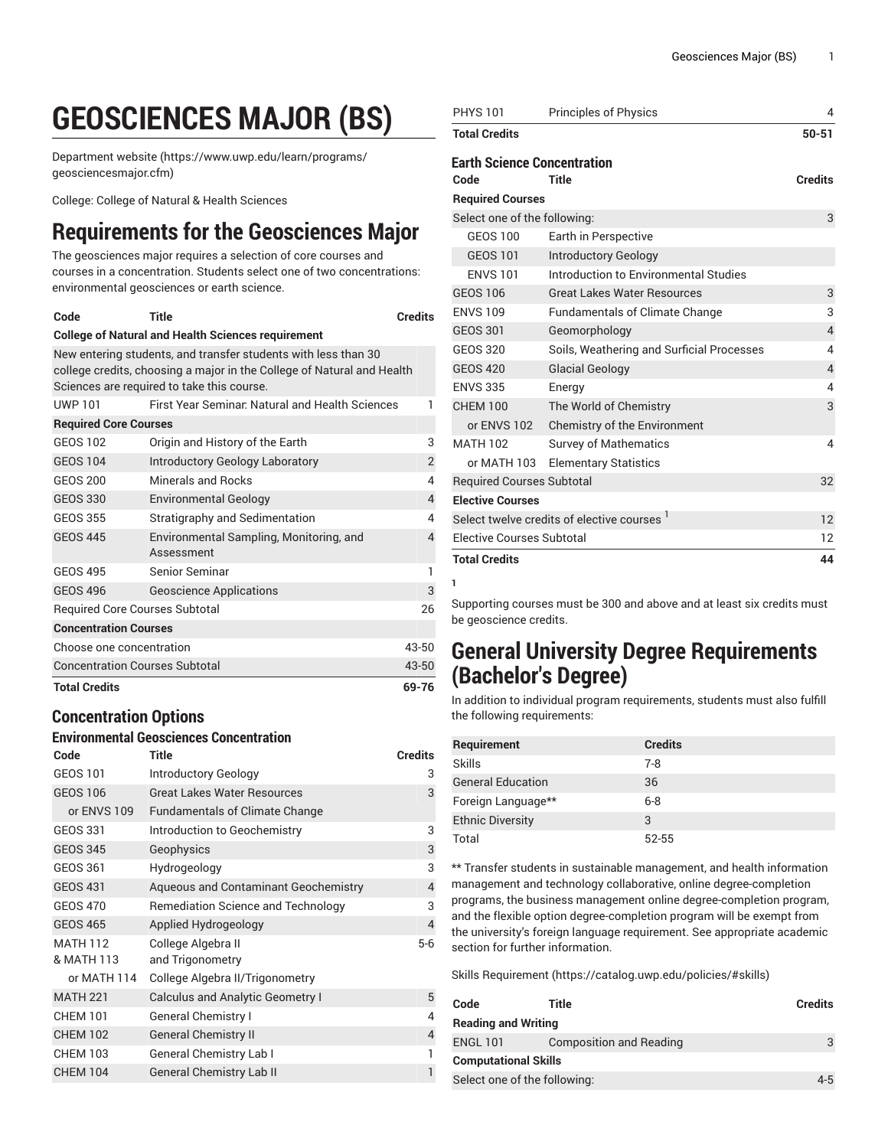# **GEOSCIENCES MAJOR (BS)**

[Department](https://www.uwp.edu/learn/programs/geosciencesmajor.cfm) website [\(https://www.uwp.edu/learn/programs/](https://www.uwp.edu/learn/programs/geosciencesmajor.cfm) [geosciencesmajor.cfm](https://www.uwp.edu/learn/programs/geosciencesmajor.cfm))

College: College of Natural & Health Sciences

## **Requirements for the Geosciences Major**

The geosciences major requires a selection of core courses and courses in a concentration. Students select one of two concentrations: environmental geosciences or earth science.

| Code                                                                                                                                                                                   | Title                                                 | <b>Credits</b> |
|----------------------------------------------------------------------------------------------------------------------------------------------------------------------------------------|-------------------------------------------------------|----------------|
| <b>College of Natural and Health Sciences requirement</b>                                                                                                                              |                                                       |                |
| New entering students, and transfer students with less than 30<br>college credits, choosing a major in the College of Natural and Health<br>Sciences are required to take this course. |                                                       |                |
| UWP 101                                                                                                                                                                                | First Year Seminar, Natural and Health Sciences       |                |
| <b>Required Core Courses</b>                                                                                                                                                           |                                                       |                |
| GEOS 102                                                                                                                                                                               | Origin and History of the Earth                       | 3              |
| <b>GEOS 104</b>                                                                                                                                                                        | Introductory Geology Laboratory                       | $\overline{2}$ |
| <b>GEOS 200</b>                                                                                                                                                                        | Minerals and Rocks                                    | 4              |
| <b>GEOS 330</b>                                                                                                                                                                        | <b>Environmental Geology</b>                          | $\overline{4}$ |
| GEOS 355                                                                                                                                                                               | Stratigraphy and Sedimentation                        | 4              |
| <b>GEOS 445</b>                                                                                                                                                                        | Environmental Sampling, Monitoring, and<br>Assessment | 4              |
| <b>GEOS 495</b>                                                                                                                                                                        | Senior Seminar                                        | 1              |
| <b>GEOS 496</b>                                                                                                                                                                        | <b>Geoscience Applications</b>                        | 3              |
| Required Core Courses Subtotal<br>26                                                                                                                                                   |                                                       |                |
| <b>Concentration Courses</b>                                                                                                                                                           |                                                       |                |
| Choose one concentration                                                                                                                                                               |                                                       | 43-50          |
| <b>Concentration Courses Subtotal</b>                                                                                                                                                  |                                                       | 43-50          |
| <b>Total Credits</b><br>69-76                                                                                                                                                          |                                                       |                |

### **Concentration Options**

#### **Environmental Geosciences Concentration**

| Code            | <b>Title</b>                                | <b>Credits</b> |
|-----------------|---------------------------------------------|----------------|
| <b>GEOS 101</b> | Introductory Geology                        | 3              |
| <b>GEOS 106</b> | <b>Great Lakes Water Resources</b>          | 3              |
| or ENVS 109     | <b>Fundamentals of Climate Change</b>       |                |
| GEOS 331        | Introduction to Geochemistry                | 3              |
| <b>GEOS 345</b> | Geophysics                                  | 3              |
| GEOS 361        | Hydrogeology                                | 3              |
| <b>GEOS 431</b> | <b>Aqueous and Contaminant Geochemistry</b> | $\overline{4}$ |
| <b>GEOS 470</b> | Remediation Science and Technology          | 3              |
| <b>GEOS 465</b> | Applied Hydrogeology                        | $\overline{4}$ |
| <b>MATH 112</b> | College Algebra II                          | $5-6$          |
| & MATH 113      | and Trigonometry                            |                |
| or MATH 114     | College Algebra II/Trigonometry             |                |
| <b>MATH 221</b> | <b>Calculus and Analytic Geometry I</b>     | 5              |
| <b>CHEM 101</b> | <b>General Chemistry I</b>                  | 4              |
| <b>CHEM 102</b> | <b>General Chemistry II</b>                 | $\overline{4}$ |
| <b>CHEM 103</b> | <b>General Chemistry Lab I</b>              | 1              |
| <b>CHEM 104</b> | <b>General Chemistry Lab II</b>             | 1              |

| <b>PHYS 101</b>                                        | <b>Principles of Physics</b>              | 4              |
|--------------------------------------------------------|-------------------------------------------|----------------|
| <b>Total Credits</b>                                   |                                           | $50 - 51$      |
| <b>Earth Science Concentration</b>                     |                                           |                |
| Code                                                   | Title                                     | <b>Credits</b> |
| <b>Required Courses</b>                                |                                           |                |
| Select one of the following:                           |                                           | 3              |
| <b>GEOS 100</b>                                        | Earth in Perspective                      |                |
| <b>GEOS 101</b>                                        | <b>Introductory Geology</b>               |                |
| <b>ENVS 101</b>                                        | Introduction to Environmental Studies     |                |
| <b>GEOS 106</b>                                        | <b>Great Lakes Water Resources</b>        | 3              |
| <b>ENVS 109</b>                                        | <b>Fundamentals of Climate Change</b>     | 3              |
| <b>GEOS 301</b>                                        | Geomorphology                             | $\overline{4}$ |
| <b>GEOS 320</b>                                        | Soils, Weathering and Surficial Processes | 4              |
| <b>GEOS 420</b>                                        | <b>Glacial Geology</b>                    | $\overline{4}$ |
| <b>ENVS 335</b>                                        | Energy                                    | 4              |
| <b>CHEM 100</b>                                        | The World of Chemistry                    | 3              |
| or ENVS 102                                            | Chemistry of the Environment              |                |
| <b>MATH 102</b>                                        | <b>Survey of Mathematics</b>              | 4              |
| or MATH 103                                            | <b>Elementary Statistics</b>              |                |
| <b>Required Courses Subtotal</b>                       |                                           | 32             |
| <b>Elective Courses</b>                                |                                           |                |
| Select twelve credits of elective courses <sup>1</sup> |                                           | 12             |
| <b>Elective Courses Subtotal</b>                       |                                           | 12             |
| <b>Total Credits</b>                                   |                                           | 44             |
| Т.                                                     |                                           |                |

Supporting courses must be 300 and above and at least six credits must be geoscience credits.

### **General University Degree Requirements (Bachelor's Degree)**

In addition to individual program requirements, students must also fulfill the following requirements:

| Requirement              | <b>Credits</b> |
|--------------------------|----------------|
| Skills                   | 7-8            |
| <b>General Education</b> | 36             |
| Foreign Language**       | $6 - 8$        |
| <b>Ethnic Diversity</b>  | 3              |
| Total                    | 52-55          |

\*\* Transfer students in sustainable management, and health information management and technology collaborative, online degree-completion programs, the business management online degree-completion program, and the flexible option degree-completion program will be exempt from the university's foreign language requirement. See appropriate academic section for further information.

Skills [Requirement \(https://catalog.uwp.edu/policies/#skills](https://catalog.uwp.edu/policies/#skills))

| Code                         | Title                          | <b>Credits</b> |
|------------------------------|--------------------------------|----------------|
| <b>Reading and Writing</b>   |                                |                |
| <b>ENGL 101</b>              | <b>Composition and Reading</b> |                |
| <b>Computational Skills</b>  |                                |                |
| Select one of the following: |                                | $4 - 5$        |